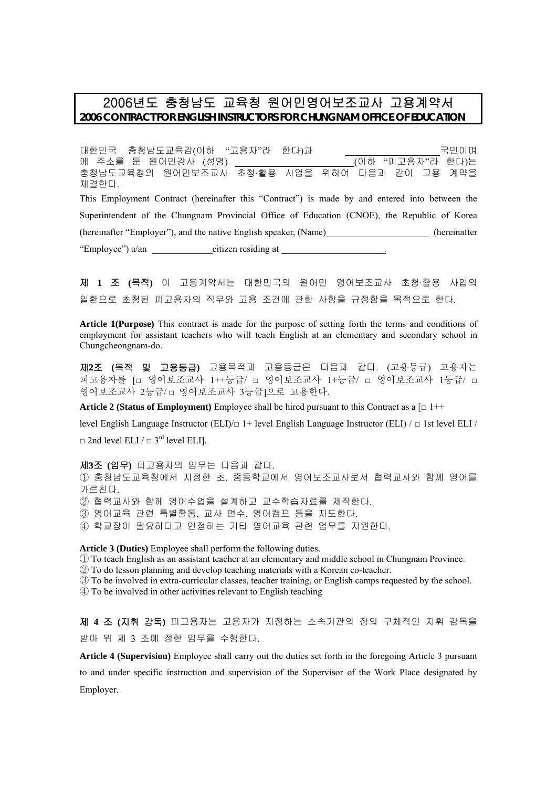# 2006년도 충청남도 교육청 원어민영어보조교사 고용계약서 **2006 CONTRACT FOR ENGLISH INSTRUCTORS FOR CHUNGNAM OFFICE OF EDUCATION**

대한민국 충청남도교육감(이하 "고용자"라 한다)과 국민이며 에 주소를 둔 원어민강사 (성명) (이하 "피고용자"라 한다)는 충청남도교육청의 원어민보조교사 초청·활용 사업을 위하여 다음과 같이 고용 계약을 체결한다. This Employment Contract (hereinafter this "Contract") is made by and entered into between the Superintendent of the Chungnam Provincial Office of Education (CNOE), the Republic of Korea (hereinafter "Employer"), and the native English speaker, (Name) (hereinafter (hereinafter "Employee") a/an citizen residing at

제 **1** 조 **(**목적**)** 이 고용계약서는 대한민국의 원어민 영어보조교사 초청·활용 사업의 일환으로 초청된 피고용자의 직무와 고용 조건에 관한 사항을 규정함을 목적으로 한다.

**Article 1(Purpose)** This contract is made for the purpose of setting forth the terms and conditions of employment for assistant teachers who will teach English at an elementary and secondary school in Chungcheongnam-do.

제**2**조 **(**목적 및 고용등급**)** 고용목적과 고용등급은 다음과 같다. (고용등급) 고용자는 피고용자를 [□ 영어보조교사 1++등급/ □ 영어보조교사 1+등급/ □ 영어보조교사 1등급/ □ 영어보조교사 2등급/ □ 영어보조교사 3등급]으로 고용한다.

**Article 2 (Status of Employment)** Employee shall be hired pursuant to this Contract as a  $\lceil \square \rceil$ ++

level English Language Instructor (ELI)/□ 1+ level English Language Instructor (ELI) / □ 1st level ELI /

 $\Box$  2nd level ELI /  $\Box$  3<sup>rd</sup> level ELI].

제**3**조 **(**임무**)** 피고용자의 임무는 다음과 같다. ① 충청남도교육청에서 지정한 초. 중등학교에서 영어보조교사로서 협력교사와 함께 영어를 가르친다. ② 협력교사와 함께 영어수업을 설계하고 교수학습자료를 제작한다. ③ 영어교육 관련 특별활동, 교사 연수, 영어캠프 등을 지도한다. ④ 학교장이 필요하다고 인정하는 기타 영어교육 관련 업무를 지원한다. **Article 3 (Duties)** Employee shall perform the following duties.

① To teach English as an assistant teacher at an elementary and middle school in Chungnam Province.

② To do lesson planning and develop teaching materials with a Korean co-teacher.

③ To be involved in extra-curricular classes, teacher training, or English camps requested by the school.

④ To be involved in other activities relevant to English teaching

제 **4** 조 **(**지휘 감독**)** 피고용자는 고용자가 지정하는 소속기관의 장의 구체적인 지휘 감독을 받아 위 제 3 조에 정한 임무를 수행한다.

**Article 4 (Supervision)** Employee shall carry out the duties set forth in the foregoing Article 3 pursuant to and under specific instruction and supervision of the Supervisor of the Work Place designated by Employer.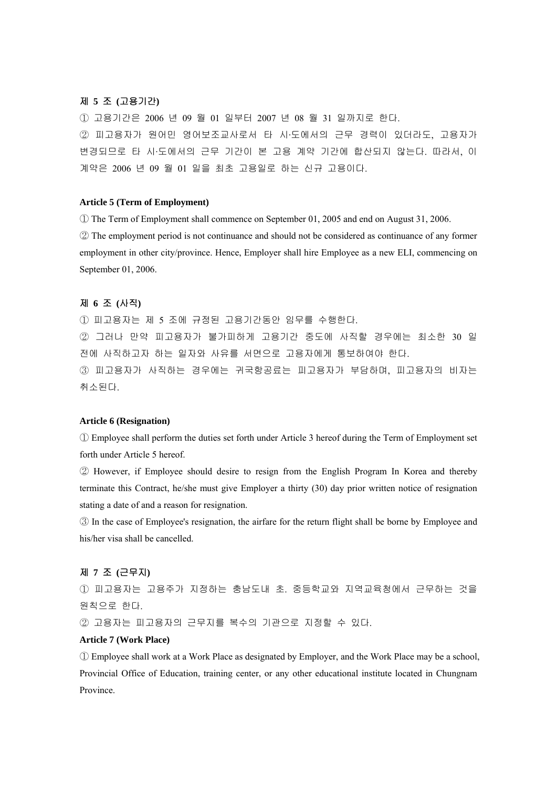# 제 **5** 조 **(**고용기간**)**

① 고용기간은 2006 년 09 월 01 일부터 2007 년 08 월 31 일까지로 한다. ② 피고용자가 원어민 영어보조교사로서 타 시·도에서의 근무 경력이 있더라도, 고용자가 변경되므로 타 시·도에서의 근무 기간이 본 고용 계약 기간에 합산되지 않는다. 따라서, 이 계약은 2006 년 09 월 01 일을 최초 고용일로 하는 신규 고용이다.

# **Article 5 (Term of Employment)**

① The Term of Employment shall commence on September 01, 2005 and end on August 31, 2006. ② The employment period is not continuance and should not be considered as continuance of any former employment in other city/province. Hence, Employer shall hire Employee as a new ELI, commencing on September 01, 2006.

# 제 **6** 조 **(**사직**)**

① 피고용자는 제 5 조에 규정된 고용기간동안 임무를 수행한다. ② 그러나 만약 피고용자가 불가피하게 고용기간 중도에 사직할 경우에는 최소한 30 일 전에 사직하고자 하는 일자와 사유를 서면으로 고용자에게 통보하여야 한다. ③ 피고용자가 사직하는 경우에는 귀국항공료는 피고용자가 부담하며, 피고용자의 비자는 취소된다.

#### **Article 6 (Resignation)**

① Employee shall perform the duties set forth under Article 3 hereof during the Term of Employment set forth under Article 5 hereof.

② However, if Employee should desire to resign from the English Program In Korea and thereby terminate this Contract, he/she must give Employer a thirty (30) day prior written notice of resignation stating a date of and a reason for resignation.

③ In the case of Employee's resignation, the airfare for the return flight shall be borne by Employee and his/her visa shall be cancelled.

# 제 **7** 조 **(**근무지**)**

① 피고용자는 고용주가 지정하는 충남도내 초. 중등학교와 지역교육청에서 근무하는 것을 원칙으로 한다.

② 고용자는 피고용자의 근무지를 복수의 기관으로 지정할 수 있다.

# **Article 7 (Work Place)**

① Employee shall work at a Work Place as designated by Employer, and the Work Place may be a school, Provincial Office of Education, training center, or any other educational institute located in Chungnam Province.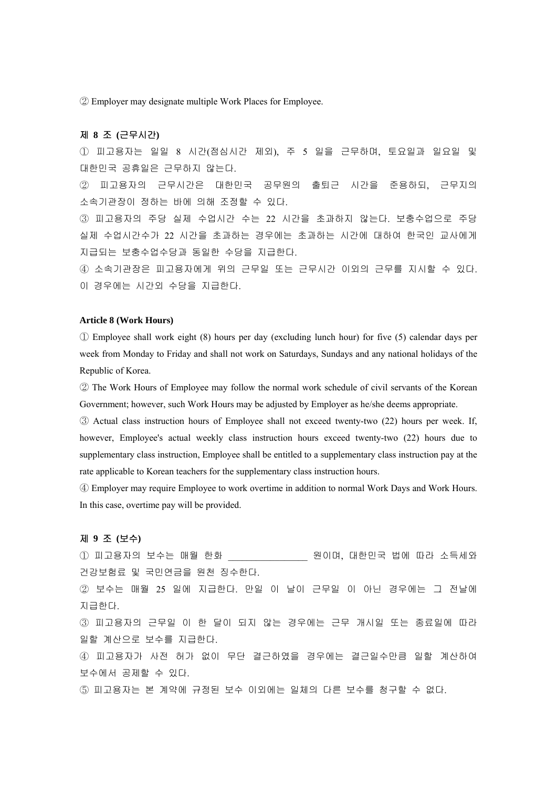② Employer may designate multiple Work Places for Employee.

# 제 **8** 조 **(**근무시간**)**

① 피고용자는 일일 8 시간(점심시간 제외), 주 5 일을 근무하며, 토요일과 일요일 및 대한민국 공휴일은 근무하지 않는다.

② 피고용자의 근무시간은 대한민국 공무원의 출퇴근 시간을 준용하되, 근무지의 소속기관장이 정하는 바에 의해 조정할 수 있다.

③ 피고용자의 주당 실제 수업시간 수는 22 시간을 초과하지 않는다. 보충수업으로 주당 실제 수업시간수가 22 시간을 초과하는 경우에는 초과하는 시간에 대하여 한국인 교사에게 지급되는 보충수업수당과 동일한 수당을 지급한다.

④ 소속기관장은 피고용자에게 위의 근무일 또는 근무시간 이외의 근무를 지시할 수 있다. 이 경우에는 시간외 수당을 지급한다.

#### **Article 8 (Work Hours)**

① Employee shall work eight (8) hours per day (excluding lunch hour) for five (5) calendar days per week from Monday to Friday and shall not work on Saturdays, Sundays and any national holidays of the Republic of Korea.

② The Work Hours of Employee may follow the normal work schedule of civil servants of the Korean Government; however, such Work Hours may be adjusted by Employer as he/she deems appropriate.

③ Actual class instruction hours of Employee shall not exceed twenty-two (22) hours per week. If, however, Employee's actual weekly class instruction hours exceed twenty-two (22) hours due to supplementary class instruction, Employee shall be entitled to a supplementary class instruction pay at the rate applicable to Korean teachers for the supplementary class instruction hours.

④ Employer may require Employee to work overtime in addition to normal Work Days and Work Hours. In this case, overtime pay will be provided.

# 제 **9** 조 **(**보수**)**

① 피고용자의 보수는 매월 한화 \_\_\_\_\_\_\_\_\_\_\_\_\_\_\_\_\_ 원이며, 대한민국 법에 따라 소득세와 건강보험료 및 국민연금을 원천 징수한다.

② 보수는 매월 25 일에 지급한다. 만일 이 날이 근무일 이 아닌 경우에는 그 전날에 지급한다.

③ 피고용자의 근무일 이 한 달이 되지 않는 경우에는 근무 개시일 또는 종료일에 따라 일할 계산으로 보수를 지급한다.

④ 피고용자가 사전 허가 없이 무단 결근하였을 경우에는 결근일수만큼 일할 계산하여 보수에서 공제할 수 있다.

⑤ 피고용자는 본 계약에 규정된 보수 이외에는 일체의 다른 보수를 청구할 수 없다.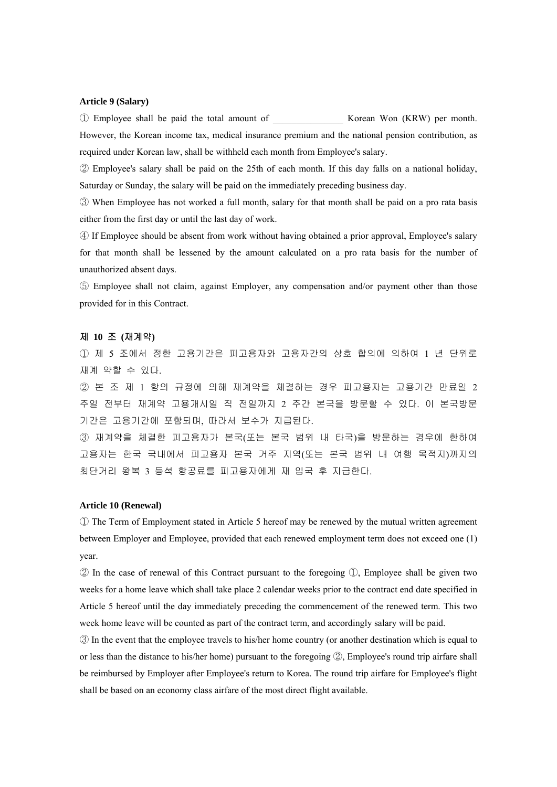# **Article 9 (Salary)**

① Employee shall be paid the total amount of \_\_\_\_\_\_\_\_\_\_\_\_\_\_\_ Korean Won (KRW) per month. However, the Korean income tax, medical insurance premium and the national pension contribution, as required under Korean law, shall be withheld each month from Employee's salary.

② Employee's salary shall be paid on the 25th of each month. If this day falls on a national holiday, Saturday or Sunday, the salary will be paid on the immediately preceding business day.

③ When Employee has not worked a full month, salary for that month shall be paid on a pro rata basis either from the first day or until the last day of work.

④ If Employee should be absent from work without having obtained a prior approval, Employee's salary for that month shall be lessened by the amount calculated on a pro rata basis for the number of unauthorized absent days.

⑤ Employee shall not claim, against Employer, any compensation and/or payment other than those provided for in this Contract.

#### 제 **10** 조 **(**재계약**)**

① 제 5 조에서 정한 고용기간은 피고용자와 고용자간의 상호 합의에 의하여 1 년 단위로 재계 약할 수 있다.

② 본 조 제 1 항의 규정에 의해 재계약을 체결하는 경우 피고용자는 고용기간 만료일 2 주일 전부터 재계약 고용개시일 직 전일까지 2 주간 본국을 방문할 수 있다. 이 본국방문 기간은 고용기간에 포함되며, 따라서 보수가 지급된다.

③ 재계약을 체결한 피고용자가 본국(또는 본국 범위 내 타국)을 방문하는 경우에 한하여 고용자는 한국 국내에서 피고용자 본국 거주 지역(또는 본국 범위 내 여행 목적지)까지의 최단거리 왕복 3 등석 항공료를 피고용자에게 재 입국 후 지급한다.

# **Article 10 (Renewal)**

① The Term of Employment stated in Article 5 hereof may be renewed by the mutual written agreement between Employer and Employee, provided that each renewed employment term does not exceed one (1) year.

 $\mathcal{D}$  In the case of renewal of this Contract pursuant to the foregoing  $\mathcal{D}$ , Employee shall be given two weeks for a home leave which shall take place 2 calendar weeks prior to the contract end date specified in Article 5 hereof until the day immediately preceding the commencement of the renewed term. This two week home leave will be counted as part of the contract term, and accordingly salary will be paid.

③ In the event that the employee travels to his/her home country (or another destination which is equal to or less than the distance to his/her home) pursuant to the foregoing  $\mathcal{D}$ , Employee's round trip airfare shall be reimbursed by Employer after Employee's return to Korea. The round trip airfare for Employee's flight shall be based on an economy class airfare of the most direct flight available.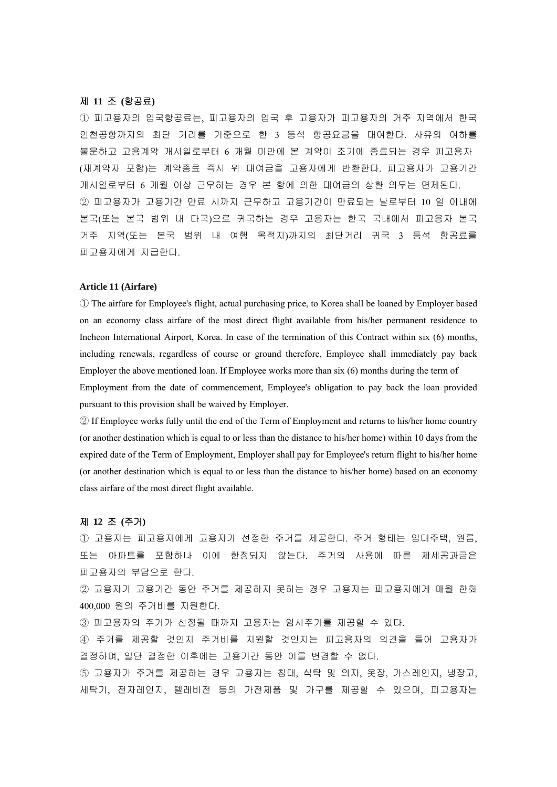### 제 **11** 조 **(**항공료**)**

① 피고용자의 입국항공료는, 피고용자의 입국 후 고용자가 피고용자의 거주 지역에서 한국 인천공항까지의 최단 거리를 기준으로 한 3 등석 항공요금을 대여한다. 사유의 여하를 불문하고 고용계약 개시일로부터 6 개월 미만에 본 계약이 조기에 종료되는 경우 피고용자 (재계약자 포함)는 계약종료 즉시 위 대여금을 고용자에게 반환한다. 피고용자가 고용기간 개시일로부터 6 개월 이상 근무하는 경우 본 항에 의한 대여금의 상환 의무는 면제된다. ② 피고용자가 고용기간 만료 시까지 근무하고 고용기간이 만료되는 날로부터 10 일 이내에 본국(또는 본국 범위 내 타국)으로 귀국하는 경우 고용자는 한국 국내에서 피고용자 본국 거주 지역(또는 본국 범위 내 여행 목적지)까지의 최단거리 귀국 3 등석 항공료를 피고용자에게 지급한다.

### **Article 11 (Airfare)**

① The airfare for Employee's flight, actual purchasing price, to Korea shall be loaned by Employer based on an economy class airfare of the most direct flight available from his/her permanent residence to Incheon International Airport, Korea. In case of the termination of this Contract within six (6) months, including renewals, regardless of course or ground therefore, Employee shall immediately pay back Employer the above mentioned loan. If Employee works more than six (6) months during the term of Employment from the date of commencement, Employee's obligation to pay back the loan provided pursuant to this provision shall be waived by Employer.

② If Employee works fully until the end of the Term of Employment and returns to his/her home country (or another destination which is equal to or less than the distance to his/her home) within 10 days from the expired date of the Term of Employment, Employer shall pay for Employee's return flight to his/her home (or another destination which is equal to or less than the distance to his/her home) based on an economy class airfare of the most direct flight available.

#### 제 **12** 조 **(**주거**)**

① 고용자는 피고용자에게 고용자가 선정한 주거를 제공한다. 주거 형태는 임대주택, 원룸, 또는 아파트를 포함하나 이에 한정되지 않는다. 주거의 사용에 따른 제세공과금은 피고용자의 부담으로 한다.

② 고용자가 고용기간 동안 주거를 제공하지 못하는 경우 고용자는 피고용자에게 매월 한화 400,000 원의 주거비를 지원한다.

③ 피고용자의 주거가 선정될 때까지 고용자는 임시주거를 제공할 수 있다.

④ 주거를 제공할 것인지 주거비를 지원할 것인지는 피고용자의 의견을 들어 고용자가 결정하며, 일단 결정한 이후에는 고용기간 동안 이를 변경할 수 없다.

⑤ 고용자가 주거를 제공하는 경우 고용자는 침대, 식탁 및 의자, 옷장, 가스레인지, 냉장고, 세탁기, 전자레인지, 텔레비전 등의 가전제품 및 가구를 제공할 수 있으며, 피고용자는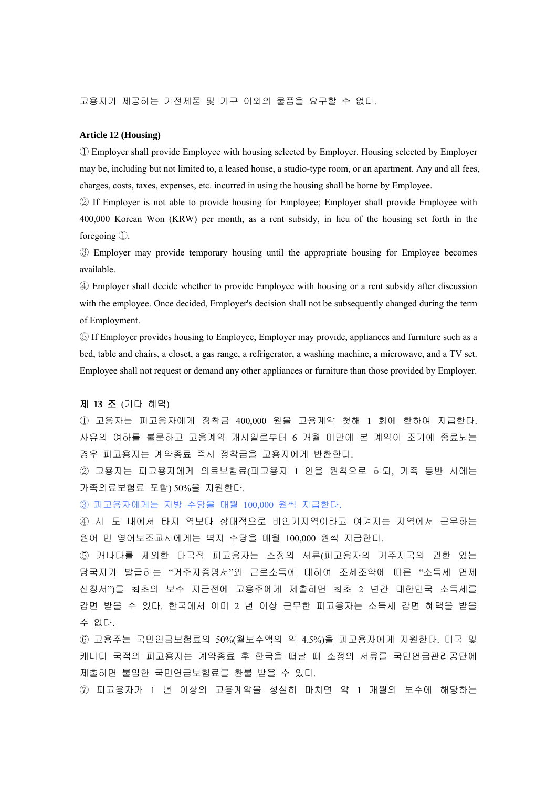고용자가 제공하는 가전제품 및 가구 이외의 물품을 요구할 수 없다.

#### **Article 12 (Housing)**

① Employer shall provide Employee with housing selected by Employer. Housing selected by Employer may be, including but not limited to, a leased house, a studio-type room, or an apartment. Any and all fees, charges, costs, taxes, expenses, etc. incurred in using the housing shall be borne by Employee.

② If Employer is not able to provide housing for Employee; Employer shall provide Employee with 400,000 Korean Won (KRW) per month, as a rent subsidy, in lieu of the housing set forth in the foregoing  $\mathbb{D}$ .

③ Employer may provide temporary housing until the appropriate housing for Employee becomes available.

④ Employer shall decide whether to provide Employee with housing or a rent subsidy after discussion with the employee. Once decided, Employer's decision shall not be subsequently changed during the term of Employment.

⑤ If Employer provides housing to Employee, Employer may provide, appliances and furniture such as a bed, table and chairs, a closet, a gas range, a refrigerator, a washing machine, a microwave, and a TV set. Employee shall not request or demand any other appliances or furniture than those provided by Employer.

#### 제 **13** 조 (기타 혜택)

① 고용자는 피고용자에게 정착금 400,000 원을 고용계약 첫해 1 회에 한하여 지급한다. 사유의 여하를 불문하고 고용계약 개시일로부터 6 개월 미만에 본 계약이 조기에 종료되는 경우 피고용자는 계약종료 즉시 정착금을 고용자에게 반환한다.

② 고용자는 피고용자에게 의료보험료(피고용자 1 인을 원칙으로 하되, 가족 동반 시에는 가족의료보험료 포함) 50%을 지원한다.

③ 피고용자에게는 지방 수당을 매월 100,000 원씩 지급한다.

④ 시도 내에서 타지 역보다 상대적으로 비인기지역이라고 여겨지는 지역에서 근무하는 원어 민 영어보조교사에게는 벽지 수당을 매월 100,000 원씩 지급한다.

⑤ 캐나다를 제외한 타국적 피고용자는 소정의 서류(피고용자의 거주지국의 권한 있는 당국자가 발급하는 "거주자증명서"와 근로소득에 대하여 조세조약에 따른 "소득세 면제 신청서")를 최초의 보수 지급전에 고용주에게 제출하면 최초 2 년간 대한민국 소득세를 감면 받을 수 있다. 한국에서 이미 2 년 이상 근무한 피고용자는 소득세 감면 혜택을 받을 수 없다.

⑥ 고용주는 국민연금보험료의 50%(월보수액의 약 4.5%)을 피고용자에게 지원한다. 미국 및 캐나다 국적의 피고용자는 계약종료 후 한국을 떠날 때 소정의 서류를 국민연금관리공단에 제출하면 불입한 국민연금보험료를 환불 받을 수 있다.

⑦ 피고용자가 1 년 이상의 고용계약을 성실히 마치면 약 1 개월의 보수에 해당하는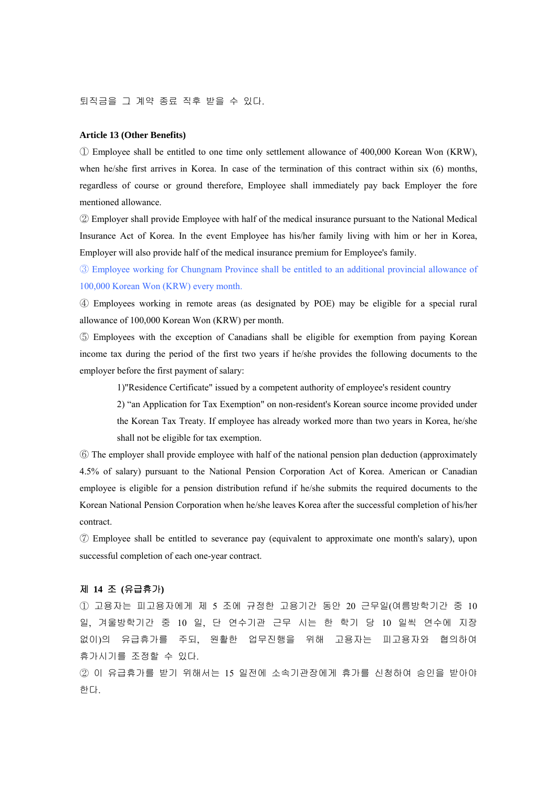퇴직금을 그 계약 종료 직후 받을 수 있다.

#### **Article 13 (Other Benefits)**

① Employee shall be entitled to one time only settlement allowance of 400,000 Korean Won (KRW), when he/she first arrives in Korea. In case of the termination of this contract within six (6) months, regardless of course or ground therefore, Employee shall immediately pay back Employer the fore mentioned allowance.

② Employer shall provide Employee with half of the medical insurance pursuant to the National Medical Insurance Act of Korea. In the event Employee has his/her family living with him or her in Korea, Employer will also provide half of the medical insurance premium for Employee's family.

③ Employee working for Chungnam Province shall be entitled to an additional provincial allowance of 100,000 Korean Won (KRW) every month.

④ Employees working in remote areas (as designated by POE) may be eligible for a special rural allowance of 100,000 Korean Won (KRW) per month.

⑤ Employees with the exception of Canadians shall be eligible for exemption from paying Korean income tax during the period of the first two years if he/she provides the following documents to the employer before the first payment of salary:

1)"Residence Certificate" issued by a competent authority of employee's resident country

2) "an Application for Tax Exemption" on non-resident's Korean source income provided under the Korean Tax Treaty. If employee has already worked more than two years in Korea, he/she shall not be eligible for tax exemption.

⑥ The employer shall provide employee with half of the national pension plan deduction (approximately 4.5% of salary) pursuant to the National Pension Corporation Act of Korea. American or Canadian employee is eligible for a pension distribution refund if he/she submits the required documents to the Korean National Pension Corporation when he/she leaves Korea after the successful completion of his/her contract.

⑦ Employee shall be entitled to severance pay (equivalent to approximate one month's salary), upon successful completion of each one-year contract.

#### 제 **14** 조 **(**유급휴가**)**

① 고용자는 피고용자에게 제 5 조에 규정한 고용기간 동안 20 근무일(여름방학기간 중 10 일, 겨울방학기간 중 10 일, 단 연수기관 근무 시는 한 학기 당 10 일씩 연수에 지장 없이)의 유급휴가를 주되, 원활한 업무진행을 위해 고용자는 피고용자와 협의하여 휴가시기를 조정할 수 있다.

② 이 유급휴가를 받기 위해서는 15 일전에 소속기관장에게 휴가를 신청하여 승인을 받아야 한다.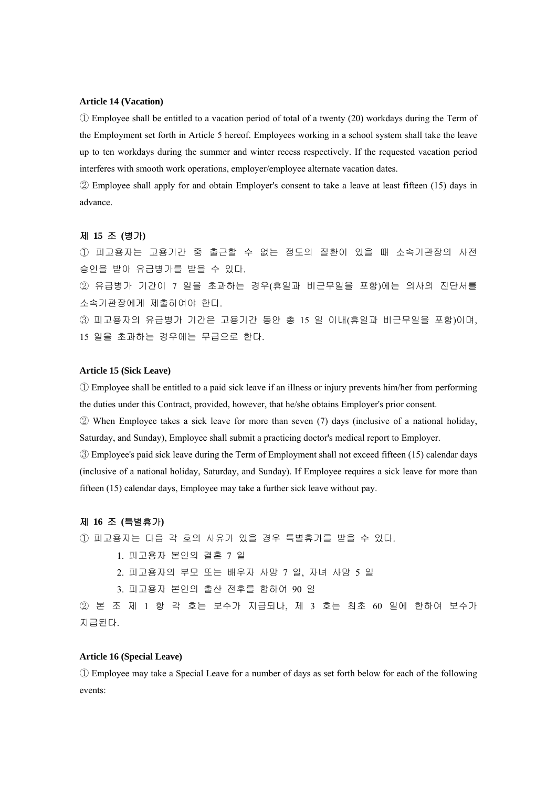#### **Article 14 (Vacation)**

① Employee shall be entitled to a vacation period of total of a twenty (20) workdays during the Term of the Employment set forth in Article 5 hereof. Employees working in a school system shall take the leave up to ten workdays during the summer and winter recess respectively. If the requested vacation period interferes with smooth work operations, employer/employee alternate vacation dates.

② Employee shall apply for and obtain Employer's consent to take a leave at least fifteen (15) days in advance.

#### 제 **15** 조 **(**병가**)**

① 피고용자는 고용기간 중 출근할 수 없는 정도의 질환이 있을 때 소속기관장의 사전 승인을 받아 유급병가를 받을 수 있다.

② 유급병가 기간이 7 일을 초과하는 경우(휴일과 비근무일을 포함)에는 의사의 진단서를 소속기관장에게 제출하여야 한다.

③ 피고용자의 유급병가 기간은 고용기간 동안 총 15 일 이내(휴일과 비근무일을 포함)이며, 15 일을 초과하는 경우에는 무급으로 한다.

#### **Article 15 (Sick Leave)**

① Employee shall be entitled to a paid sick leave if an illness or injury prevents him/her from performing the duties under this Contract, provided, however, that he/she obtains Employer's prior consent.

② When Employee takes a sick leave for more than seven (7) days (inclusive of a national holiday, Saturday, and Sunday), Employee shall submit a practicing doctor's medical report to Employer.

③ Employee's paid sick leave during the Term of Employment shall not exceed fifteen (15) calendar days (inclusive of a national holiday, Saturday, and Sunday). If Employee requires a sick leave for more than fifteen (15) calendar days, Employee may take a further sick leave without pay.

#### 제 **16** 조 **(**특별휴가**)**

① 피고용자는 다음 각 호의 사유가 있을 경우 특별휴가를 받을 수 있다.

- 1. 피고용자 본인의 결혼 7 일
- 2. 피고용자의 부모 또는 배우자 사망 7 일, 자녀 사망 5 일
- 3. 피고용자 본인의 출산 전후를 합하여 90 일

② 본 조 제 1 항 각 호는 보수가 지급되나, 제 3 호는 최초 60 일에 한하여 보수가 지급된다.

# **Article 16 (Special Leave)**

① Employee may take a Special Leave for a number of days as set forth below for each of the following events: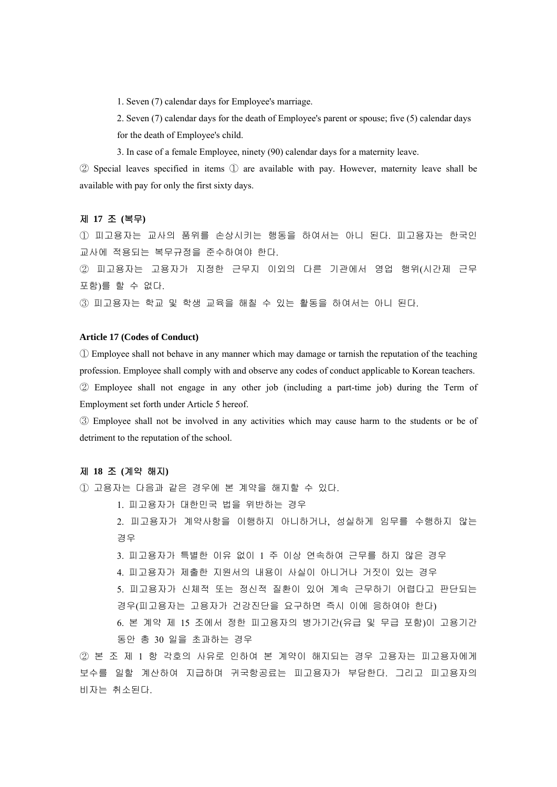1. Seven (7) calendar days for Employee's marriage.

2. Seven (7) calendar days for the death of Employee's parent or spouse; five (5) calendar days for the death of Employee's child.

3. In case of a female Employee, ninety (90) calendar days for a maternity leave.

② Special leaves specified in items ① are available with pay. However, maternity leave shall be available with pay for only the first sixty days.

# 제 **17** 조 **(**복무**)**

① 피고용자는 교사의 품위를 손상시키는 행동을 하여서는 아니 된다. 피고용자는 한국인 교사에 적용되는 복무규정을 준수하여야 한다.

② 피고용자는 고용자가 지정한 근무지 이외의 다른 기관에서 영업 행위(시간제 근무 포함)를 할 수 없다.

③ 피고용자는 학교 및 학생 교육을 해칠 수 있는 활동을 하여서는 아니 된다.

## **Article 17 (Codes of Conduct)**

① Employee shall not behave in any manner which may damage or tarnish the reputation of the teaching profession. Employee shall comply with and observe any codes of conduct applicable to Korean teachers.

② Employee shall not engage in any other job (including a part-time job) during the Term of Employment set forth under Article 5 hereof.

③ Employee shall not be involved in any activities which may cause harm to the students or be of detriment to the reputation of the school.

# 제 **18** 조 **(**계약 해지**)**

① 고용자는 다음과 같은 경우에 본 계약을 해지할 수 있다.

1. 피고용자가 대한민국 법을 위반하는 경우

2. 피고용자가 계약사항을 이행하지 아니하거나, 성실하게 임무를 수행하지 않는 경우

3. 피고용자가 특별한 이유 없이 1 주 이상 연속하여 근무를 하지 않은 경우

- 4. 피고용자가 제출한 지원서의 내용이 사실이 아니거나 거짓이 있는 경우
- 5. 피고용자가 신체적 또는 정신적 질환이 있어 계속 근무하기 어렵다고 판단되는 경우(피고용자는 고용자가 건강진단을 요구하면 즉시 이에 응하여야 한다)

6. 본 계약 제 15 조에서 정한 피고용자의 병가기간(유급 및 무급 포함)이 고용기간 동안 총 30 일을 초과하는 경우

② 본 조 제 1 항 각호의 사유로 인하여 본 계약이 해지되는 경우 고용자는 피고용자에게 보수를 일할 계산하여 지급하며 귀국항공료는 피고용자가 부담한다. 그리고 피고용자의 비자는 취소된다.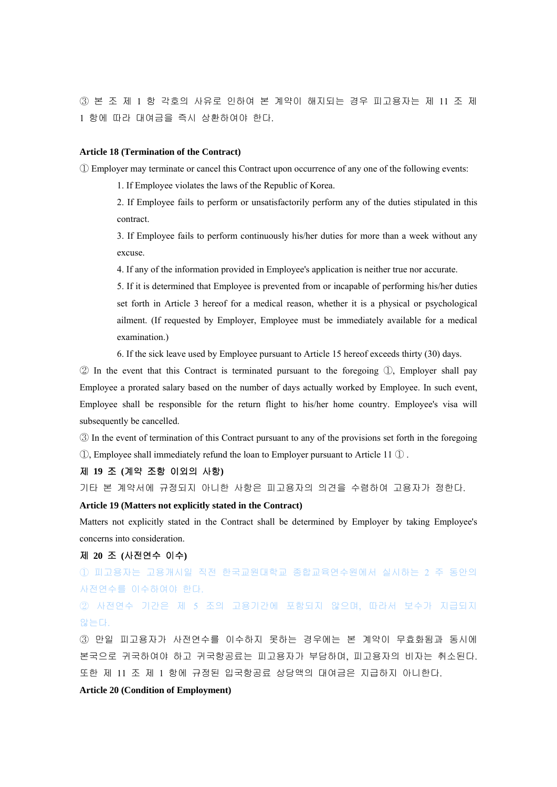③ 본 조 제 1 항 각호의 사유로 인하여 본 계약이 해지되는 경우 피고용자는 제 11 조 제 1 항에 따라 대여금을 즉시 상환하여야 한다.

#### **Article 18 (Termination of the Contract)**

① Employer may terminate or cancel this Contract upon occurrence of any one of the following events:

1. If Employee violates the laws of the Republic of Korea.

2. If Employee fails to perform or unsatisfactorily perform any of the duties stipulated in this contract.

3. If Employee fails to perform continuously his/her duties for more than a week without any excuse.

4. If any of the information provided in Employee's application is neither true nor accurate.

5. If it is determined that Employee is prevented from or incapable of performing his/her duties set forth in Article 3 hereof for a medical reason, whether it is a physical or psychological ailment. (If requested by Employer, Employee must be immediately available for a medical examination.)

6. If the sick leave used by Employee pursuant to Article 15 hereof exceeds thirty (30) days.

 $\oslash$  In the event that this Contract is terminated pursuant to the foregoing  $\oslash$ , Employer shall pay Employee a prorated salary based on the number of days actually worked by Employee. In such event, Employee shall be responsible for the return flight to his/her home country. Employee's visa will subsequently be cancelled.

③ In the event of termination of this Contract pursuant to any of the provisions set forth in the foregoing  $\mathbb D$ , Employee shall immediately refund the loan to Employer pursuant to Article 11  $\mathbb D$ .

# 제 **19** 조 **(**계약 조항 이외의 사항**)**

기타 본 계약서에 규정되지 아니한 사항은 피고용자의 의견을 수렴하여 고용자가 정한다.

# **Article 19 (Matters not explicitly stated in the Contract)**

Matters not explicitly stated in the Contract shall be determined by Employer by taking Employee's concerns into consideration.

# 제 **20** 조 **(**사전연수 이수**)**

① 피고용자는 고용개시일 직전 한국교원대학교 종합교육연수원에서 실시하는 2 주 동안의 사전연수를 이수하여야 한다.

# ② 사전연수 기간은 제 5 조의 고용기간에 포함되지 않으며, 따라서 보수가 지급되지 않는다.

③ 만일 피고용자가 사전연수를 이수하지 못하는 경우에는 본 계약이 무효화됨과 동시에 본국으로 귀국하여야 하고 귀국항공료는 피고용자가 부담하며, 피고용자의 비자는 취소된다. 또한 제 11 조 제 1 항에 규정된 입국항공료 상당액의 대여금은 지급하지 아니한다.

# **Article 20 (Condition of Employment)**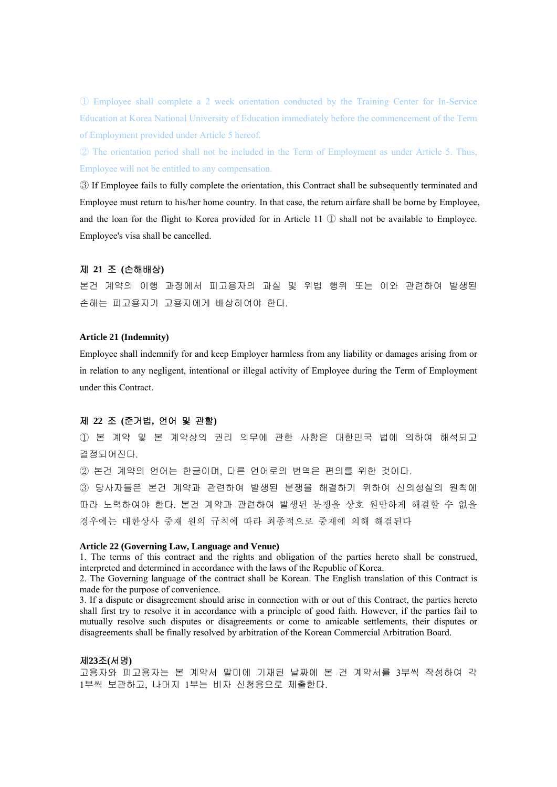① Employee shall complete a 2 week orientation conducted by the Training Center for In-Service Education at Korea National University of Education immediately before the commencement of the Term of Employment provided under Article 5 hereof.

② The orientation period shall not be included in the Term of Employment as under Article 5. Thus, Employee will not be entitled to any compensation.

③ If Employee fails to fully complete the orientation, this Contract shall be subsequently terminated and Employee must return to his/her home country. In that case, the return airfare shall be borne by Employee, and the loan for the flight to Korea provided for in Article 11  $\mathbb D$  shall not be available to Employee. Employee's visa shall be cancelled.

#### 제 **21** 조 **(**손해배상**)**

본건 계약의 이행 과정에서 피고용자의 과실 및 위법 행위 또는 이와 관련하여 발생된 손해는 피고용자가 고용자에게 배상하여야 한다.

# **Article 21 (Indemnity)**

Employee shall indemnify for and keep Employer harmless from any liability or damages arising from or in relation to any negligent, intentional or illegal activity of Employee during the Term of Employment under this Contract.

## 제 **22** 조 **(**준거법**,** 언어 및 관할**)**

① 본 계약 및 본 계약상의 권리 의무에 관한 사항은 대한민국 법에 의하여 해석되고 결정되어진다.

② 본건 계약의 언어는 한글이며, 다른 언어로의 번역은 편의를 위한 것이다.

③ 당사자들은 본건 계약과 관련하여 발생된 분쟁을 해결하기 위하여 신의성실의 원칙에 따라 노력하여야 한다. 본건 계약과 관련하여 발생된 분쟁을 상호 원만하게 해결할 수 없을 경우에는 대한상사 중재 원의 규칙에 따라 최종적으로 중재에 의해 해결된다

#### **Article 22 (Governing Law, Language and Venue)**

1. The terms of this contract and the rights and obligation of the parties hereto shall be construed, interpreted and determined in accordance with the laws of the Republic of Korea.

2. The Governing language of the contract shall be Korean. The English translation of this Contract is made for the purpose of convenience.

3. If a dispute or disagreement should arise in connection with or out of this Contract, the parties hereto shall first try to resolve it in accordance with a principle of good faith. However, if the parties fail to mutually resolve such disputes or disagreements or come to amicable settlements, their disputes or disagreements shall be finally resolved by arbitration of the Korean Commercial Arbitration Board.

#### 제**23**조**(**서명**)**

고용자와 피고용자는 본 계약서 말미에 기재된 날짜에 본 건 계약서를 3부씩 작성하여 각 1부씩 보관하고, 나머지 1부는 비자 신청용으로 제출한다.